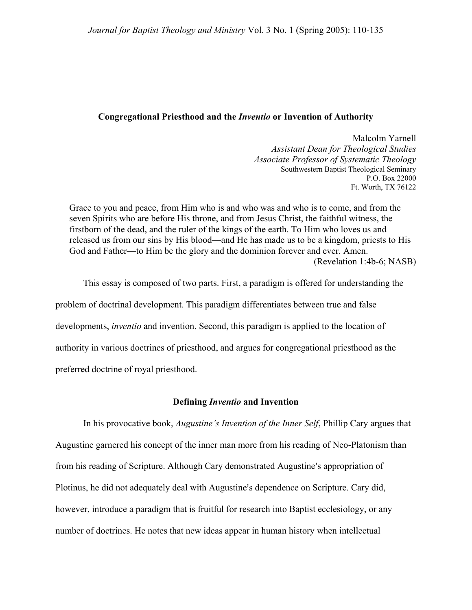# **Congregational Priesthood and the** *Inventio* **or Invention of Authority**

Malcolm Yarnell *Assistant Dean for Theological Studies Associate Professor of Systematic Theology* Southwestern Baptist Theological Seminary P.O. Box 22000 Ft. Worth, TX 76122

Grace to you and peace, from Him who is and who was and who is to come, and from the seven Spirits who are before His throne, and from Jesus Christ, the faithful witness, the firstborn of the dead, and the ruler of the kings of the earth. To Him who loves us and released us from our sins by His blood—and He has made us to be a kingdom, priests to His God and Father—to Him be the glory and the dominion forever and ever. Amen. (Revelation 1:4b-6; NASB)

This essay is composed of two parts. First, a paradigm is offered for understanding the problem of doctrinal development. This paradigm differentiates between true and false developments, *inventio* and invention. Second, this paradigm is applied to the location of authority in various doctrines of priesthood, and argues for congregational priesthood as the preferred doctrine of royal priesthood.

## **Defining** *Inventio* **and Invention**

In his provocative book, *Augustine's Invention of the Inner Self*, Phillip Cary argues that Augustine garnered his concept of the inner man more from his reading of Neo-Platonism than from his reading of Scripture. Although Cary demonstrated Augustine's appropriation of Plotinus, he did not adequately deal with Augustine's dependence on Scripture. Cary did, however, introduce a paradigm that is fruitful for research into Baptist ecclesiology, or any number of doctrines. He notes that new ideas appear in human history when intellectual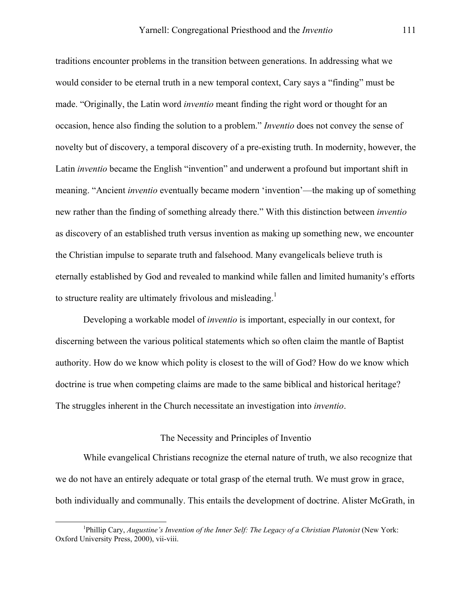traditions encounter problems in the transition between generations. In addressing what we would consider to be eternal truth in a new temporal context, Cary says a "finding" must be made. "Originally, the Latin word *inventio* meant finding the right word or thought for an occasion, hence also finding the solution to a problem." *Inventio* does not convey the sense of novelty but of discovery, a temporal discovery of a pre-existing truth. In modernity, however, the Latin *inventio* became the English "invention" and underwent a profound but important shift in meaning. "Ancient *inventio* eventually became modern 'invention'—the making up of something new rather than the finding of something already there." With this distinction between *inventio* as discovery of an established truth versus invention as making up something new, we encounter the Christian impulse to separate truth and falsehood. Many evangelicals believe truth is eternally established by God and revealed to mankind while fallen and limited humanity's efforts to structure reality are ultimately frivolous and misleading.<sup>1</sup>

Developing a workable model of *inventio* is important, especially in our context, for discerning between the various political statements which so often claim the mantle of Baptist authority. How do we know which polity is closest to the will of God? How do we know which doctrine is true when competing claims are made to the same biblical and historical heritage? The struggles inherent in the Church necessitate an investigation into *inventio*.

### The Necessity and Principles of Inventio

While evangelical Christians recognize the eternal nature of truth, we also recognize that we do not have an entirely adequate or total grasp of the eternal truth. We must grow in grace, both individually and communally. This entails the development of doctrine. Alister McGrath, in

<span id="page-1-0"></span><sup>&</sup>lt;u>1</u> <sup>1</sup>Phillip Cary, *Augustine's Invention of the Inner Self: The Legacy of a Christian Platonist* (New York: Oxford University Press, 2000), vii-viii.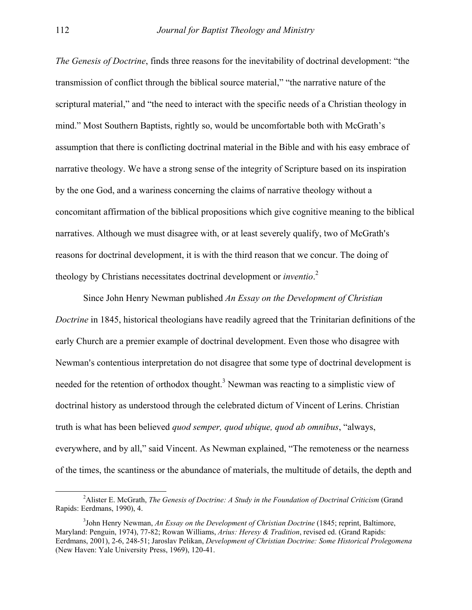*The Genesis of Doctrine*, finds three reasons for the inevitability of doctrinal development: "the transmission of conflict through the biblical source material," "the narrative nature of the scriptural material," and "the need to interact with the specific needs of a Christian theology in mind." Most Southern Baptists, rightly so, would be uncomfortable both with McGrath's assumption that there is conflicting doctrinal material in the Bible and with his easy embrace of narrative theology. We have a strong sense of the integrity of Scripture based on its inspiration by the one God, and a wariness concerning the claims of narrative theology without a concomitant affirmation of the biblical propositions which give cognitive meaning to the biblical narratives. Although we must disagree with, or at least severely qualify, two of McGrath's reasons for doctrinal development, it is with the third reason that we concur. The doing of theology by Christians necessitates doctrinal development or *inventio*. [2](#page-2-0)

Since John Henry Newman published *An Essay on the Development of Christian Doctrine* in 1845, historical theologians have readily agreed that the Trinitarian definitions of the early Church are a premier example of doctrinal development. Even those who disagree with Newman's contentious interpretation do not disagree that some type of doctrinal development is needed for the retention of orthodox thought.<sup>[3](#page-2-1)</sup> Newman was reacting to a simplistic view of doctrinal history as understood through the celebrated dictum of Vincent of Lerins. Christian truth is what has been believed *quod semper, quod ubique, quod ab omnibus*, "always, everywhere, and by all," said Vincent. As Newman explained, "The remoteness or the nearness of the times, the scantiness or the abundance of materials, the multitude of details, the depth and

<span id="page-2-0"></span> $\overline{\phantom{a}}$ Alister E. McGrath, *The Genesis of Doctrine: A Study in the Foundation of Doctrinal Criticism* (Grand Rapids: Eerdmans, 1990), 4.

<span id="page-2-1"></span><sup>3</sup> John Henry Newman, *An Essay on the Development of Christian Doctrine* (1845; reprint, Baltimore, Maryland: Penguin, 1974), 77-82; Rowan Williams, *Arius: Heresy & Tradition*, revised ed. (Grand Rapids: Eerdmans, 2001), 2-6, 248-51; Jaroslav Pelikan, *Development of Christian Doctrine: Some Historical Prolegomena* (New Haven: Yale University Press, 1969), 120-41.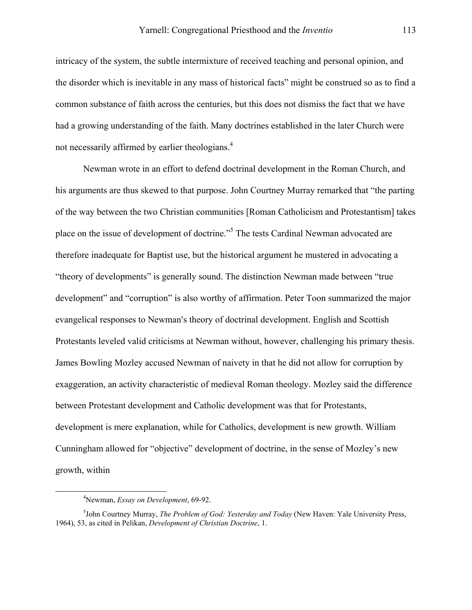intricacy of the system, the subtle intermixture of received teaching and personal opinion, and the disorder which is inevitable in any mass of historical facts" might be construed so as to find a common substance of faith across the centuries, but this does not dismiss the fact that we have had a growing understanding of the faith. Many doctrines established in the later Church were not necessarily affirmed by earlier theologians.<sup>[4](#page-3-0)</sup>

Newman wrote in an effort to defend doctrinal development in the Roman Church, and his arguments are thus skewed to that purpose. John Courtney Murray remarked that "the parting of the way between the two Christian communities [Roman Catholicism and Protestantism] takes place on the issue of development of doctrine."<sup>[5](#page-3-1)</sup> The tests Cardinal Newman advocated are therefore inadequate for Baptist use, but the historical argument he mustered in advocating a "theory of developments" is generally sound. The distinction Newman made between "true development" and "corruption" is also worthy of affirmation. Peter Toon summarized the major evangelical responses to Newman's theory of doctrinal development. English and Scottish Protestants leveled valid criticisms at Newman without, however, challenging his primary thesis. James Bowling Mozley accused Newman of naivety in that he did not allow for corruption by exaggeration, an activity characteristic of medieval Roman theology. Mozley said the difference between Protestant development and Catholic development was that for Protestants, development is mere explanation, while for Catholics, development is new growth. William Cunningham allowed for "objective" development of doctrine, in the sense of Mozley's new growth, within

<span id="page-3-0"></span> $\overline{a}$ Newman, *Essay on Development*, 69-92.

<span id="page-3-1"></span><sup>5</sup> John Courtney Murray, *The Problem of God: Yesterday and Today* (New Haven: Yale University Press, 1964), 53, as cited in Pelikan, *Development of Christian Doctrine*, 1.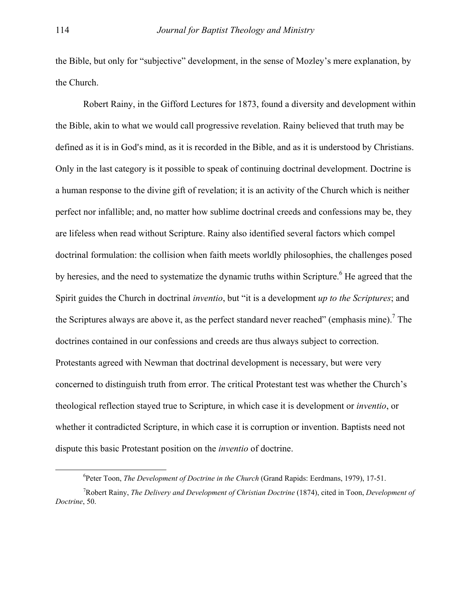the Bible, but only for "subjective" development, in the sense of Mozley's mere explanation, by the Church.

Robert Rainy, in the Gifford Lectures for 1873, found a diversity and development within the Bible, akin to what we would call progressive revelation. Rainy believed that truth may be defined as it is in God's mind, as it is recorded in the Bible, and as it is understood by Christians. Only in the last category is it possible to speak of continuing doctrinal development. Doctrine is a human response to the divine gift of revelation; it is an activity of the Church which is neither perfect nor infallible; and, no matter how sublime doctrinal creeds and confessions may be, they are lifeless when read without Scripture. Rainy also identified several factors which compel doctrinal formulation: the collision when faith meets worldly philosophies, the challenges posed by heresies, and the need to systematize the dynamic truths within Scripture.<sup>6</sup> He agreed that the Spirit guides the Church in doctrinal *inventio*, but "it is a development *up to the Scriptures*; and the Scriptures always are above it, as the perfect standard never reached" (emphasis mine).<sup>[7](#page-4-1)</sup> The doctrines contained in our confessions and creeds are thus always subject to correction. Protestants agreed with Newman that doctrinal development is necessary, but were very concerned to distinguish truth from error. The critical Protestant test was whether the Church's theological reflection stayed true to Scripture, in which case it is development or *inventio*, or whether it contradicted Scripture, in which case it is corruption or invention. Baptists need not dispute this basic Protestant position on the *inventio* of doctrine.

<span id="page-4-0"></span> <sup>6</sup> <sup>6</sup> Peter Toon, *The Development of Doctrine in the Church* (Grand Rapids: Eerdmans, 1979), 17-51.

<span id="page-4-1"></span><sup>7</sup> Robert Rainy, *The Delivery and Development of Christian Doctrine* (1874), cited in Toon, *Development of Doctrine*, 50.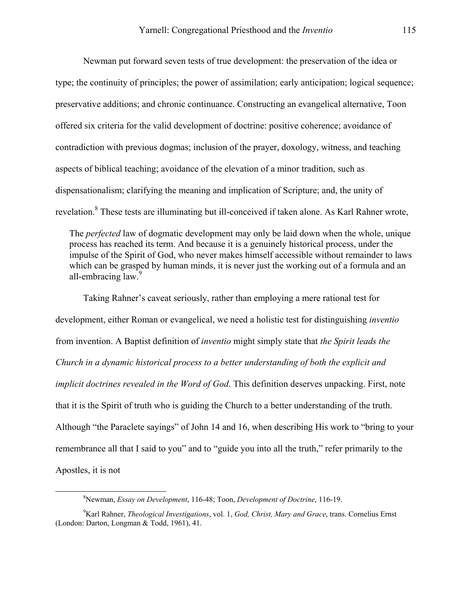Newman put forward seven tests of true development: the preservation of the idea or type; the continuity of principles; the power of assimilation; early anticipation; logical sequence; preservative additions; and chronic continuance. Constructing an evangelical alternative, Toon offered six criteria for the valid development of doctrine: positive coherence; avoidance of contradiction with previous dogmas; inclusion of the prayer, doxology, witness, and teaching aspects of biblical teaching; avoidance of the elevation of a minor tradition, such as dispensationalism; clarifying the meaning and implication of Scripture; and, the unity of revelation.<sup>8</sup> These tests are illuminating but ill-conceived if taken alone. As Karl Rahner wrote,

The *perfected* law of dogmatic development may only be laid down when the whole, unique process has reached its term. And because it is a genuinely historical process, under the impulse of the Spirit of God, who never makes himself accessible without remainder to laws which can be grasped by human minds, it is never just the working out of a formula and an all-embracing law.<sup>[9](#page-5-1)</sup>

Taking Rahner's caveat seriously, rather than employing a mere rational test for development, either Roman or evangelical, we need a holistic test for distinguishing *inventio* from invention. A Baptist definition of *inventio* might simply state that *the Spirit leads the Church in a dynamic historical process to a better understanding of both the explicit and implicit doctrines revealed in the Word of God*. This definition deserves unpacking. First, note that it is the Spirit of truth who is guiding the Church to a better understanding of the truth. Although "the Paraclete sayings" of John 14 and 16, when describing His work to "bring to your remembrance all that I said to you" and to "guide you into all the truth," refer primarily to the Apostles, it is not

<span id="page-5-0"></span> <sup>8</sup> Newman, *Essay on Development*, 116-48; Toon, *Development of Doctrine*, 116-19.

<span id="page-5-1"></span><sup>9</sup> Karl Rahner, *Theological Investigations*, vol. 1, *God, Christ, Mary and Grace*, trans. Cornelius Ernst (London: Darton, Longman & Todd, 1961), 41.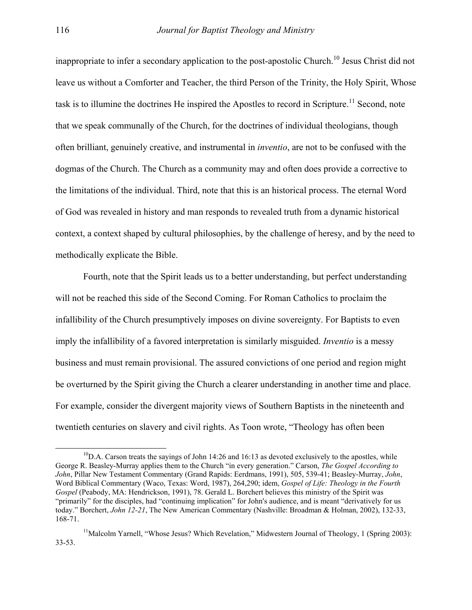inappropriate to infer a secondary application to the post-apostolic Church.<sup>10</sup> Jesus Christ did not leave us without a Comforter and Teacher, the third Person of the Trinity, the Holy Spirit, Whose task is to illumine the doctrines He inspired the Apostles to record in Scripture.<sup>11</sup> Second, note that we speak communally of the Church, for the doctrines of individual theologians, though often brilliant, genuinely creative, and instrumental in *inventio*, are not to be confused with the dogmas of the Church. The Church as a community may and often does provide a corrective to the limitations of the individual. Third, note that this is an historical process. The eternal Word of God was revealed in history and man responds to revealed truth from a dynamic historical context, a context shaped by cultural philosophies, by the challenge of heresy, and by the need to methodically explicate the Bible.

Fourth, note that the Spirit leads us to a better understanding, but perfect understanding will not be reached this side of the Second Coming. For Roman Catholics to proclaim the infallibility of the Church presumptively imposes on divine sovereignty. For Baptists to even imply the infallibility of a favored interpretation is similarly misguided. *Inventio* is a messy business and must remain provisional. The assured convictions of one period and region might be overturned by the Spirit giving the Church a clearer understanding in another time and place. For example, consider the divergent majority views of Southern Baptists in the nineteenth and twentieth centuries on slavery and civil rights. As Toon wrote, "Theology has often been

<span id="page-6-0"></span> $^{10}$ D.A. Carson treats the sayings of John 14:26 and 16:13 as devoted exclusively to the apostles, while George R. Beasley-Murray applies them to the Church "in every generation." Carson, *The Gospel According to John*, Pillar New Testament Commentary (Grand Rapids: Eerdmans, 1991), 505, 539-41; Beasley-Murray, *John*, Word Biblical Commentary (Waco, Texas: Word, 1987), 264,290; idem, *Gospel of Life: Theology in the Fourth Gospel* (Peabody, MA: Hendrickson, 1991), 78. Gerald L. Borchert believes this ministry of the Spirit was "primarily" for the disciples, had "continuing implication" for John's audience, and is meant "derivatively for us today." Borchert, *John 12-21*, The New American Commentary (Nashville: Broadman & Holman, 2002), 132-33, 168-71.

<span id="page-6-1"></span><sup>&</sup>lt;sup>11</sup>Malcolm Yarnell, "Whose Jesus? Which Revelation," Midwestern Journal of Theology, 1 (Spring 2003): 33-53.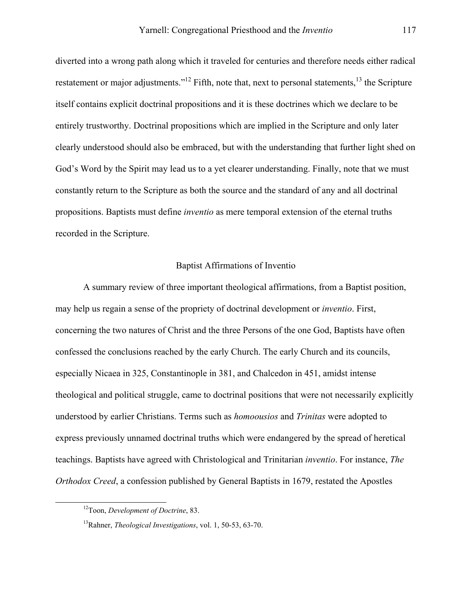diverted into a wrong path along which it traveled for centuries and therefore needs either radical restatement or major adjustments."<sup>12</sup> Fifth, note that, next to personal statements, <sup>13</sup> the Scripture itself contains explicit doctrinal propositions and it is these doctrines which we declare to be entirely trustworthy. Doctrinal propositions which are implied in the Scripture and only later clearly understood should also be embraced, but with the understanding that further light shed on God's Word by the Spirit may lead us to a yet clearer understanding. Finally, note that we must constantly return to the Scripture as both the source and the standard of any and all doctrinal propositions. Baptists must define *inventio* as mere temporal extension of the eternal truths recorded in the Scripture.

#### Baptist Affirmations of Inventio

A summary review of three important theological affirmations, from a Baptist position, may help us regain a sense of the propriety of doctrinal development or *inventio*. First, concerning the two natures of Christ and the three Persons of the one God, Baptists have often confessed the conclusions reached by the early Church. The early Church and its councils, especially Nicaea in 325, Constantinople in 381, and Chalcedon in 451, amidst intense theological and political struggle, came to doctrinal positions that were not necessarily explicitly understood by earlier Christians. Terms such as *homoousios* and *Trinitas* were adopted to express previously unnamed doctrinal truths which were endangered by the spread of heretical teachings. Baptists have agreed with Christological and Trinitarian *inventio*. For instance, *The Orthodox Creed*, a confession published by General Baptists in 1679, restated the Apostles

<span id="page-7-0"></span> <sup>12</sup>Toon, *Development of Doctrine*, 83.

<span id="page-7-1"></span><sup>13</sup>Rahner, *Theological Investigations*, vol. 1, 50-53, 63-70.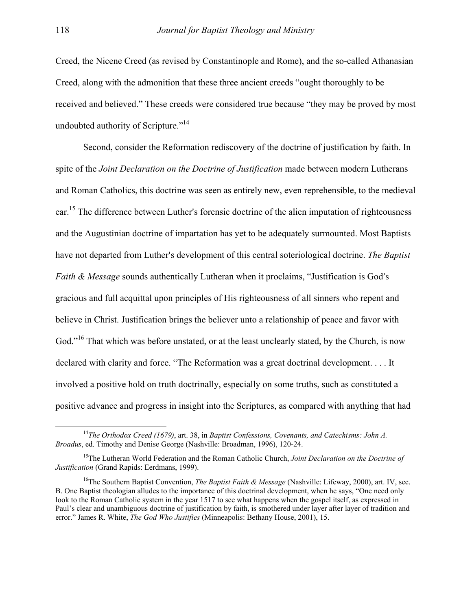Creed, the Nicene Creed (as revised by Constantinople and Rome), and the so-called Athanasian Creed, along with the admonition that these three ancient creeds "ought thoroughly to be received and believed." These creeds were considered true because "they may be proved by most undoubted authority of Scripture."<sup>14</sup>

Second, consider the Reformation rediscovery of the doctrine of justification by faith. In spite of the *Joint Declaration on the Doctrine of Justification* made between modern Lutherans and Roman Catholics, this doctrine was seen as entirely new, even reprehensible, to the medieval ear.<sup>15</sup> The difference between Luther's forensic doctrine of the alien imputation of righteousness and the Augustinian doctrine of impartation has yet to be adequately surmounted. Most Baptists have not departed from Luther's development of this central soteriological doctrine. *The Baptist Faith & Message* sounds authentically Lutheran when it proclaims, "Justification is God's gracious and full acquittal upon principles of His righteousness of all sinners who repent and believe in Christ. Justification brings the believer unto a relationship of peace and favor with God."<sup>16</sup> That which was before unstated, or at the least unclearly stated, by the Church, is now declared with clarity and force. "The Reformation was a great doctrinal development. . . . It involved a positive hold on truth doctrinally, especially on some truths, such as constituted a positive advance and progress in insight into the Scriptures, as compared with anything that had

<span id="page-8-0"></span> <sup>14</sup>*The Orthodox Creed (1679)*, art. 38, in *Baptist Confessions, Covenants, and Catechisms: John A. Broadus*, ed. Timothy and Denise George (Nashville: Broadman, 1996), 120-24.

<span id="page-8-1"></span><sup>15</sup>The Lutheran World Federation and the Roman Catholic Church, *Joint Declaration on the Doctrine of Justification* (Grand Rapids: Eerdmans, 1999).

<span id="page-8-2"></span><sup>16</sup>The Southern Baptist Convention, *The Baptist Faith & Message* (Nashville: Lifeway, 2000), art. IV, sec. B. One Baptist theologian alludes to the importance of this doctrinal development, when he says, "One need only look to the Roman Catholic system in the year 1517 to see what happens when the gospel itself, as expressed in Paul's clear and unambiguous doctrine of justification by faith, is smothered under layer after layer of tradition and error." James R. White, *The God Who Justifies* (Minneapolis: Bethany House, 2001), 15.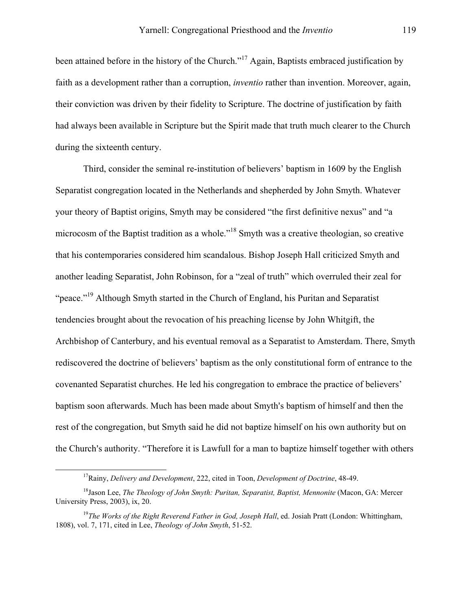been attained before in the history of the Church."<sup>17</sup> Again, Baptists embraced justification by faith as a development rather than a corruption, *inventio* rather than invention. Moreover, again, their conviction was driven by their fidelity to Scripture. The doctrine of justification by faith had always been available in Scripture but the Spirit made that truth much clearer to the Church during the sixteenth century.

Third, consider the seminal re-institution of believers' baptism in 1609 by the English Separatist congregation located in the Netherlands and shepherded by John Smyth. Whatever your theory of Baptist origins, Smyth may be considered "the first definitive nexus" and "a microcosm of the Baptist tradition as a whole."[18](#page-9-1) Smyth was a creative theologian, so creative that his contemporaries considered him scandalous. Bishop Joseph Hall criticized Smyth and another leading Separatist, John Robinson, for a "zeal of truth" which overruled their zeal for "peace.["19](#page-9-2) Although Smyth started in the Church of England, his Puritan and Separatist tendencies brought about the revocation of his preaching license by John Whitgift, the Archbishop of Canterbury, and his eventual removal as a Separatist to Amsterdam. There, Smyth rediscovered the doctrine of believers' baptism as the only constitutional form of entrance to the covenanted Separatist churches. He led his congregation to embrace the practice of believers' baptism soon afterwards. Much has been made about Smyth's baptism of himself and then the rest of the congregation, but Smyth said he did not baptize himself on his own authority but on the Church's authority. "Therefore it is Lawfull for a man to baptize himself together with others

<span id="page-9-1"></span><span id="page-9-0"></span> <sup>17</sup>Rainy, *Delivery and Development*, 222, cited in Toon, *Development of Doctrine*, 48-49.

<sup>&</sup>lt;sup>18</sup>Jason Lee, *The Theology of John Smyth: Puritan, Separatist, Baptist, Mennonite* (Macon, GA: Mercer University Press, 2003), ix, 20.

<span id="page-9-2"></span><sup>&</sup>lt;sup>19</sup>The Works of the Right Reverend Father in God, Joseph Hall, ed. Josiah Pratt (London: Whittingham, 1808), vol. 7, 171, cited in Lee, *Theology of John Smyth*, 51-52.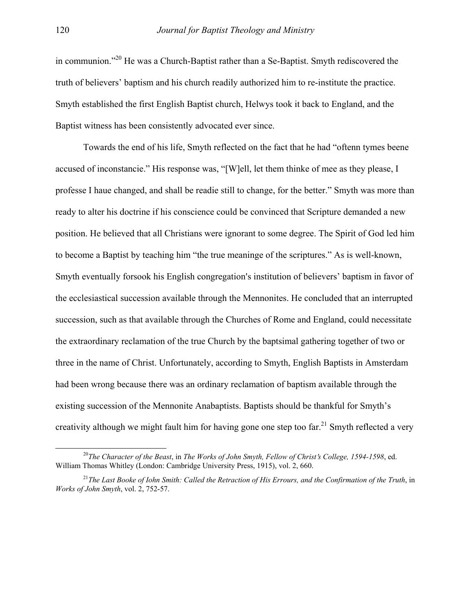in communion."<sup>20</sup> He was a Church-Baptist rather than a Se-Baptist. Smyth rediscovered the truth of believers' baptism and his church readily authorized him to re-institute the practice. Smyth established the first English Baptist church, Helwys took it back to England, and the Baptist witness has been consistently advocated ever since.

Towards the end of his life, Smyth reflected on the fact that he had "oftenn tymes beene accused of inconstancie." His response was, "[W]ell, let them thinke of mee as they please, I professe I haue changed, and shall be readie still to change, for the better." Smyth was more than ready to alter his doctrine if his conscience could be convinced that Scripture demanded a new position. He believed that all Christians were ignorant to some degree. The Spirit of God led him to become a Baptist by teaching him "the true meaninge of the scriptures." As is well-known, Smyth eventually forsook his English congregation's institution of believers' baptism in favor of the ecclesiastical succession available through the Mennonites. He concluded that an interrupted succession, such as that available through the Churches of Rome and England, could necessitate the extraordinary reclamation of the true Church by the baptsimal gathering together of two or three in the name of Christ. Unfortunately, according to Smyth, English Baptists in Amsterdam had been wrong because there was an ordinary reclamation of baptism available through the existing succession of the Mennonite Anabaptists. Baptists should be thankful for Smyth's creativity although we might fault him for having gone one step too far.<sup>21</sup> Smyth reflected a very

<span id="page-10-0"></span><sup>&</sup>lt;sup>20</sup>The Character of the Beast, in The Works of John Smyth, Fellow of Christ's College, 1594-1598, ed. William Thomas Whitley (London: Cambridge University Press, 1915), vol. 2, 660.

<span id="page-10-1"></span><sup>21</sup>*The Last Booke of Iohn Smith: Called the Retraction of His Errours, and the Confirmation of the Truth*, in *Works of John Smyth*, vol. 2, 752-57.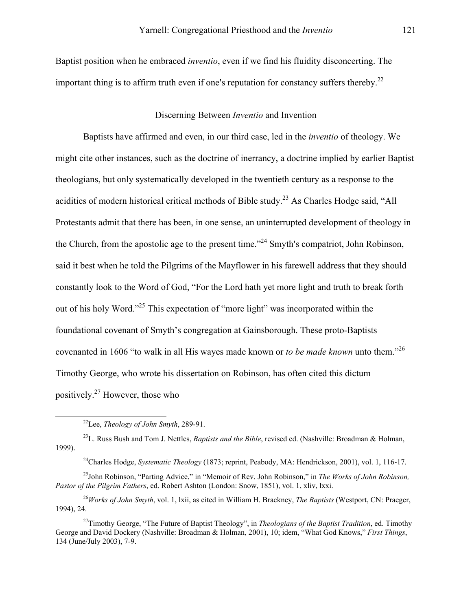Baptist position when he embraced *inventio*, even if we find his fluidity disconcerting. The important thing is to affirm truth even if one's reputation for constancy suffers thereby.<sup>[22](#page-11-0)</sup>

#### Discerning Between *Inventio* and Invention

Baptists have affirmed and even, in our third case, led in the *inventio* of theology. We might cite other instances, such as the doctrine of inerrancy, a doctrine implied by earlier Baptist theologians, but only systematically developed in the twentieth century as a response to the acidities of modern historical critical methods of Bible study.<sup>23</sup> As Charles Hodge said, "All Protestants admit that there has been, in one sense, an uninterrupted development of theology in the Church, from the apostolic age to the present time.<sup> $2^{24}$ </sup> Smyth's compatriot, John Robinson, said it best when he told the Pilgrims of the Mayflower in his farewell address that they should constantly look to the Word of God, "For the Lord hath yet more light and truth to break forth out of his holy Word."[25](#page-11-3) This expectation of "more light" was incorporated within the foundational covenant of Smyth's congregation at Gainsborough. These proto-Baptists covenanted in 1606 "to walk in all His wayes made known or *to be made known* unto them."[26](#page-11-4) Timothy George, who wrote his dissertation on Robinson, has often cited this dictum positively[.27](#page-11-5) However, those who

23L. Russ Bush and Tom J. Nettles, *Baptists and the Bible*, revised ed. (Nashville: Broadman & Holman, 1999).

<span id="page-11-3"></span><span id="page-11-2"></span>24Charles Hodge, *Systematic Theology* (1873; reprint, Peabody, MA: Hendrickson, 2001), vol. 1, 116-17.

25John Robinson, "Parting Advice," in "Memoir of Rev. John Robinson," in *The Works of John Robinson, Pastor of the Pilgrim Fathers*, ed. Robert Ashton (London: Snow, 1851), vol. 1, xliv, lxxi.

<span id="page-11-4"></span><sup>26</sup>*Works of John Smyth*, vol. 1, lxii, as cited in William H. Brackney, *The Baptists* (Westport, CN: Praeger, 1994), 24.

<span id="page-11-5"></span>27Timothy George, "The Future of Baptist Theology", in *Theologians of the Baptist Tradition*, ed. Timothy George and David Dockery (Nashville: Broadman & Holman, 2001), 10; idem, "What God Knows," *First Things*, 134 (June/July 2003), 7-9.

<span id="page-11-1"></span><span id="page-11-0"></span> <sup>22</sup>Lee, *Theology of John Smyth*, 289-91.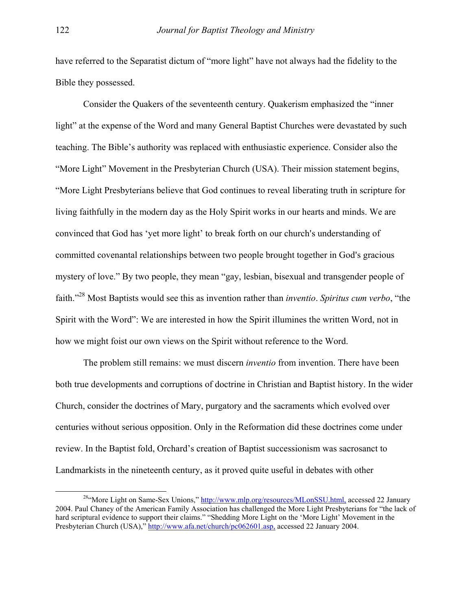have referred to the Separatist dictum of "more light" have not always had the fidelity to the Bible they possessed.

Consider the Quakers of the seventeenth century. Quakerism emphasized the "inner light" at the expense of the Word and many General Baptist Churches were devastated by such teaching. The Bible's authority was replaced with enthusiastic experience. Consider also the "More Light" Movement in the Presbyterian Church (USA). Their mission statement begins, "More Light Presbyterians believe that God continues to reveal liberating truth in scripture for living faithfully in the modern day as the Holy Spirit works in our hearts and minds. We are convinced that God has 'yet more light' to break forth on our church's understanding of committed covenantal relationships between two people brought together in God's gracious mystery of love." By two people, they mean "gay, lesbian, bisexual and transgender people of faith."[28](#page-12-0) Most Baptists would see this as invention rather than *inventio*. *Spiritus cum verbo*, "the Spirit with the Word": We are interested in how the Spirit illumines the written Word, not in how we might foist our own views on the Spirit without reference to the Word.

The problem still remains: we must discern *inventio* from invention. There have been both true developments and corruptions of doctrine in Christian and Baptist history. In the wider Church, consider the doctrines of Mary, purgatory and the sacraments which evolved over centuries without serious opposition. Only in the Reformation did these doctrines come under review. In the Baptist fold, Orchard's creation of Baptist successionism was sacrosanct to Landmarkists in the nineteenth century, as it proved quite useful in debates with other

<span id="page-12-0"></span><sup>&</sup>lt;sup>28"</sup>More Light on Same-Sex Unions," http://www.mlp.org/resources/MLonSSU.html, accessed 22 January 2004. Paul Chaney of the American Family Association has challenged the More Light Presbyterians for "the lack of hard scriptural evidence to support their claims." "Shedding More Light on the 'More Light' Movement in the Presbyterian Church (USA)," http://www.afa.net/church/pc062601.asp, accessed 22 January 2004.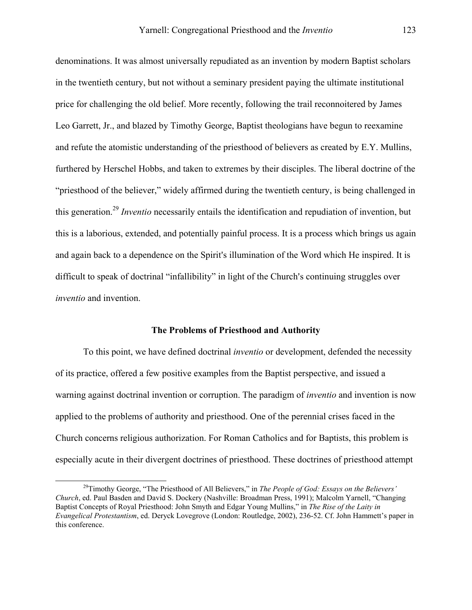denominations. It was almost universally repudiated as an invention by modern Baptist scholars in the twentieth century, but not without a seminary president paying the ultimate institutional price for challenging the old belief. More recently, following the trail reconnoitered by James Leo Garrett, Jr., and blazed by Timothy George, Baptist theologians have begun to reexamine and refute the atomistic understanding of the priesthood of believers as created by E.Y. Mullins, furthered by Herschel Hobbs, and taken to extremes by their disciples. The liberal doctrine of the "priesthood of the believer," widely affirmed during the twentieth century, is being challenged in this generation.[29](#page-13-0) *Inventio* necessarily entails the identification and repudiation of invention, but this is a laborious, extended, and potentially painful process. It is a process which brings us again and again back to a dependence on the Spirit's illumination of the Word which He inspired. It is difficult to speak of doctrinal "infallibility" in light of the Church's continuing struggles over *inventio* and invention.

### **The Problems of Priesthood and Authority**

To this point, we have defined doctrinal *inventio* or development, defended the necessity of its practice, offered a few positive examples from the Baptist perspective, and issued a warning against doctrinal invention or corruption. The paradigm of *inventio* and invention is now applied to the problems of authority and priesthood. One of the perennial crises faced in the Church concerns religious authorization. For Roman Catholics and for Baptists, this problem is especially acute in their divergent doctrines of priesthood. These doctrines of priesthood attempt

<span id="page-13-0"></span> <sup>29</sup>Timothy George, "The Priesthood of All Believers," in *The People of God: Essays on the Believers' Church*, ed. Paul Basden and David S. Dockery (Nashville: Broadman Press, 1991); Malcolm Yarnell, "Changing Baptist Concepts of Royal Priesthood: John Smyth and Edgar Young Mullins," in *The Rise of the Laity in Evangelical Protestantism*, ed. Deryck Lovegrove (London: Routledge, 2002), 236-52. Cf. John Hammett's paper in this conference.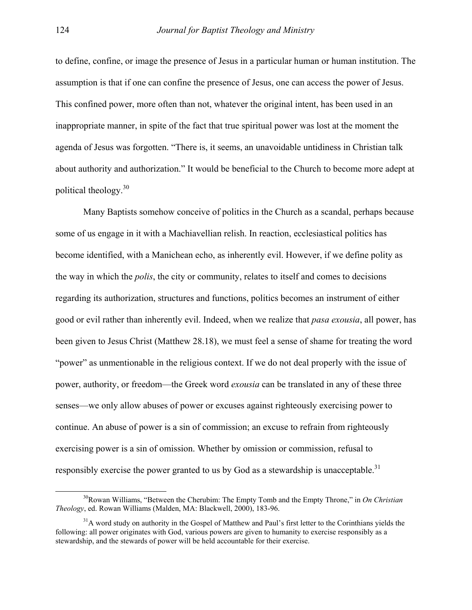to define, confine, or image the presence of Jesus in a particular human or human institution. The assumption is that if one can confine the presence of Jesus, one can access the power of Jesus. This confined power, more often than not, whatever the original intent, has been used in an inappropriate manner, in spite of the fact that true spiritual power was lost at the moment the agenda of Jesus was forgotten. "There is, it seems, an unavoidable untidiness in Christian talk about authority and authorization." It would be beneficial to the Church to become more adept at political theology.[30](#page-14-0)

Many Baptists somehow conceive of politics in the Church as a scandal, perhaps because some of us engage in it with a Machiavellian relish. In reaction, ecclesiastical politics has become identified, with a Manichean echo, as inherently evil. However, if we define polity as the way in which the *polis*, the city or community, relates to itself and comes to decisions regarding its authorization, structures and functions, politics becomes an instrument of either good or evil rather than inherently evil. Indeed, when we realize that *pasa exousia*, all power, has been given to Jesus Christ (Matthew 28.18), we must feel a sense of shame for treating the word "power" as unmentionable in the religious context. If we do not deal properly with the issue of power, authority, or freedom—the Greek word *exousia* can be translated in any of these three senses—we only allow abuses of power or excuses against righteously exercising power to continue. An abuse of power is a sin of commission; an excuse to refrain from righteously exercising power is a sin of omission. Whether by omission or commission, refusal to responsibly exercise the power granted to us by God as a stewardship is unacceptable.<sup>[31](#page-14-1)</sup>

<span id="page-14-0"></span> <sup>30</sup>Rowan Williams, "Between the Cherubim: The Empty Tomb and the Empty Throne," in *On Christian Theology*, ed. Rowan Williams (Malden, MA: Blackwell, 2000), 183-96.

<span id="page-14-1"></span> $31A$  word study on authority in the Gospel of Matthew and Paul's first letter to the Corinthians yields the following: all power originates with God, various powers are given to humanity to exercise responsibly as a stewardship, and the stewards of power will be held accountable for their exercise.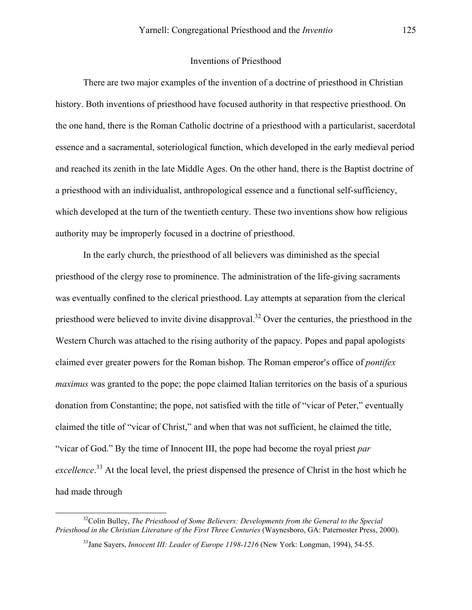## Inventions of Priesthood

There are two major examples of the invention of a doctrine of priesthood in Christian history. Both inventions of priesthood have focused authority in that respective priesthood. On the one hand, there is the Roman Catholic doctrine of a priesthood with a particularist, sacerdotal essence and a sacramental, soteriological function, which developed in the early medieval period and reached its zenith in the late Middle Ages. On the other hand, there is the Baptist doctrine of a priesthood with an individualist, anthropological essence and a functional self-sufficiency, which developed at the turn of the twentieth century. These two inventions show how religious authority may be improperly focused in a doctrine of priesthood.

In the early church, the priesthood of all believers was diminished as the special priesthood of the clergy rose to prominence. The administration of the life-giving sacraments was eventually confined to the clerical priesthood. Lay attempts at separation from the clerical priesthood were believed to invite divine disapproval.<sup>32</sup> Over the centuries, the priesthood in the Western Church was attached to the rising authority of the papacy. Popes and papal apologists claimed ever greater powers for the Roman bishop. The Roman emperor's office of *pontifex maximus* was granted to the pope; the pope claimed Italian territories on the basis of a spurious donation from Constantine; the pope, not satisfied with the title of "vicar of Peter," eventually claimed the title of "vicar of Christ," and when that was not sufficient, he claimed the title, "vicar of God." By the time of Innocent III, the pope had become the royal priest *par*  excellence.<sup>33</sup> At the local level, the priest dispensed the presence of Christ in the host which he had made through

<sup>&</sup>lt;sup>32</sup>Colin Bulley, *The Priesthood of Some Believers: Developments from the General to the Special Priesthood in the Christian Literature of the First Three Centuries* (Waynesboro, GA: Paternoster Press, 2000).

<span id="page-15-1"></span><span id="page-15-0"></span><sup>33</sup>Jane Sayers, *Innocent III: Leader of Europe 1198-1216* (New York: Longman, 1994), 54-55.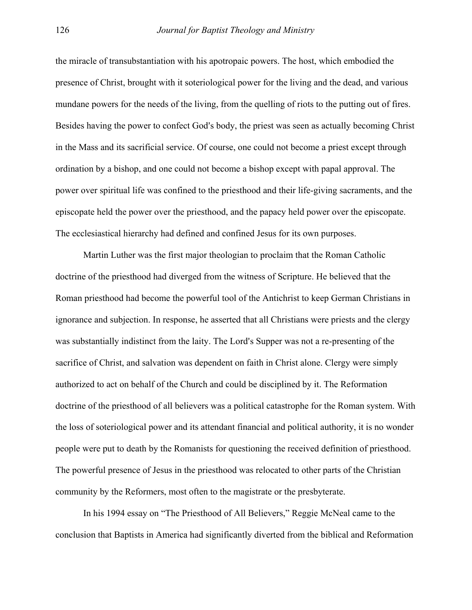the miracle of transubstantiation with his apotropaic powers. The host, which embodied the presence of Christ, brought with it soteriological power for the living and the dead, and various mundane powers for the needs of the living, from the quelling of riots to the putting out of fires. Besides having the power to confect God's body, the priest was seen as actually becoming Christ in the Mass and its sacrificial service. Of course, one could not become a priest except through ordination by a bishop, and one could not become a bishop except with papal approval. The power over spiritual life was confined to the priesthood and their life-giving sacraments, and the episcopate held the power over the priesthood, and the papacy held power over the episcopate. The ecclesiastical hierarchy had defined and confined Jesus for its own purposes.

Martin Luther was the first major theologian to proclaim that the Roman Catholic doctrine of the priesthood had diverged from the witness of Scripture. He believed that the Roman priesthood had become the powerful tool of the Antichrist to keep German Christians in ignorance and subjection. In response, he asserted that all Christians were priests and the clergy was substantially indistinct from the laity. The Lord's Supper was not a re-presenting of the sacrifice of Christ, and salvation was dependent on faith in Christ alone. Clergy were simply authorized to act on behalf of the Church and could be disciplined by it. The Reformation doctrine of the priesthood of all believers was a political catastrophe for the Roman system. With the loss of soteriological power and its attendant financial and political authority, it is no wonder people were put to death by the Romanists for questioning the received definition of priesthood. The powerful presence of Jesus in the priesthood was relocated to other parts of the Christian community by the Reformers, most often to the magistrate or the presbyterate.

In his 1994 essay on "The Priesthood of All Believers," Reggie McNeal came to the conclusion that Baptists in America had significantly diverted from the biblical and Reformation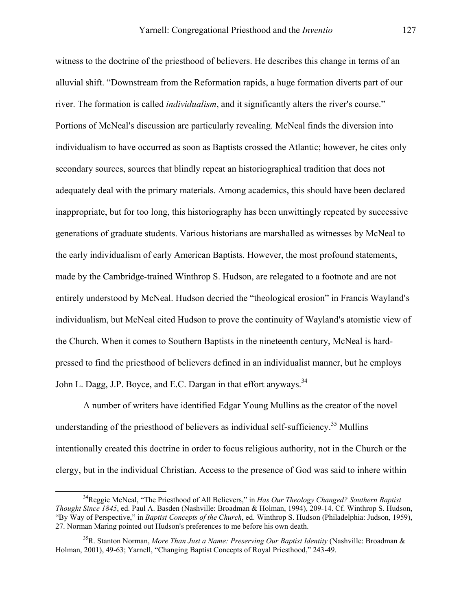witness to the doctrine of the priesthood of believers. He describes this change in terms of an alluvial shift. "Downstream from the Reformation rapids, a huge formation diverts part of our river. The formation is called *individualism*, and it significantly alters the river's course." Portions of McNeal's discussion are particularly revealing. McNeal finds the diversion into individualism to have occurred as soon as Baptists crossed the Atlantic; however, he cites only secondary sources, sources that blindly repeat an historiographical tradition that does not adequately deal with the primary materials. Among academics, this should have been declared inappropriate, but for too long, this historiography has been unwittingly repeated by successive generations of graduate students. Various historians are marshalled as witnesses by McNeal to the early individualism of early American Baptists. However, the most profound statements, made by the Cambridge-trained Winthrop S. Hudson, are relegated to a footnote and are not entirely understood by McNeal. Hudson decried the "theological erosion" in Francis Wayland's individualism, but McNeal cited Hudson to prove the continuity of Wayland's atomistic view of the Church. When it comes to Southern Baptists in the nineteenth century, McNeal is hardpressed to find the priesthood of believers defined in an individualist manner, but he employs John L. Dagg, J.P. Boyce, and E.C. Dargan in that effort anyways.<sup>[34](#page-17-0)</sup>

A number of writers have identified Edgar Young Mullins as the creator of the novel understanding of the priesthood of believers as individual self-sufficiency.<sup>35</sup> Mullins intentionally created this doctrine in order to focus religious authority, not in the Church or the clergy, but in the individual Christian. Access to the presence of God was said to inhere within

<span id="page-17-0"></span> <sup>34</sup>Reggie McNeal, "The Priesthood of All Believers," in *Has Our Theology Changed? Southern Baptist Thought Since 1845*, ed. Paul A. Basden (Nashville: Broadman & Holman, 1994), 209-14. Cf. Winthrop S. Hudson, "By Way of Perspective," in *Baptist Concepts of the Church*, ed. Winthrop S. Hudson (Philadelphia: Judson, 1959), 27. Norman Maring pointed out Hudson's preferences to me before his own death.

<span id="page-17-1"></span><sup>35</sup>R. Stanton Norman, *More Than Just a Name: Preserving Our Baptist Identity* (Nashville: Broadman & Holman, 2001), 49-63; Yarnell, "Changing Baptist Concepts of Royal Priesthood," 243-49.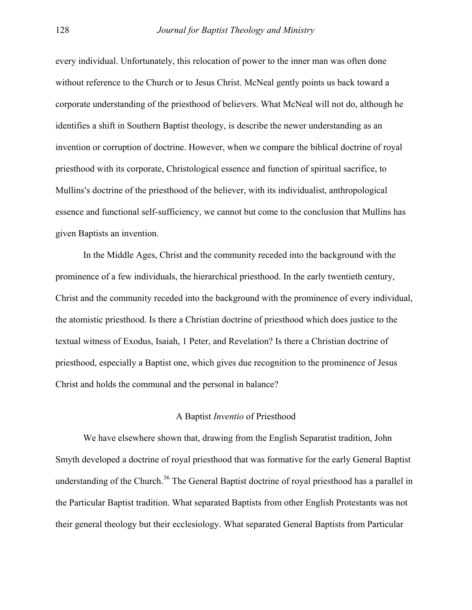every individual. Unfortunately, this relocation of power to the inner man was often done without reference to the Church or to Jesus Christ. McNeal gently points us back toward a corporate understanding of the priesthood of believers. What McNeal will not do, although he identifies a shift in Southern Baptist theology, is describe the newer understanding as an invention or corruption of doctrine. However, when we compare the biblical doctrine of royal priesthood with its corporate, Christological essence and function of spiritual sacrifice, to Mullins's doctrine of the priesthood of the believer, with its individualist, anthropological essence and functional self-sufficiency, we cannot but come to the conclusion that Mullins has given Baptists an invention.

In the Middle Ages, Christ and the community receded into the background with the prominence of a few individuals, the hierarchical priesthood. In the early twentieth century, Christ and the community receded into the background with the prominence of every individual, the atomistic priesthood. Is there a Christian doctrine of priesthood which does justice to the textual witness of Exodus, Isaiah, 1 Peter, and Revelation? Is there a Christian doctrine of priesthood, especially a Baptist one, which gives due recognition to the prominence of Jesus Christ and holds the communal and the personal in balance?

### A Baptist *Inventio* of Priesthood

<span id="page-18-0"></span>We have elsewhere shown that, drawing from the English Separatist tradition, John Smyth developed a doctrine of royal priesthood that was formative for the early General Baptist understanding of the Church.<sup>36</sup> The General Baptist doctrine of royal priesthood has a parallel in the Particular Baptist tradition. What separated Baptists from other English Protestants was not their general theology but their ecclesiology. What separated General Baptists from Particular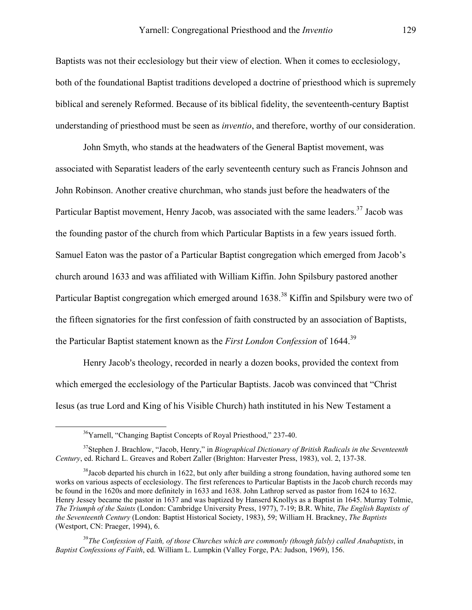Baptists was not their ecclesiology but their view of election. When it comes to ecclesiology, both of the foundational Baptist traditions developed a doctrine of priesthood which is supremely biblical and serenely Reformed. Because of its biblical fidelity, the seventeenth-century Baptist understanding of priesthood must be seen as *inventio*, and therefore, worthy of our consideration.

John Smyth, who stands at the headwaters of the General Baptist movement, was associated with Separatist leaders of the early seventeenth century such as Francis Johnson and John Robinson. Another creative churchman, who stands just before the headwaters of the Particular Baptist movement, Henry Jacob, was associated with the same leaders.<sup>37</sup> Jacob was the founding pastor of the church from which Particular Baptists in a few years issued forth. Samuel Eaton was the pastor of a Particular Baptist congregation which emerged from Jacob's church around 1633 and was affiliated with William Kiffin. John Spilsbury pastored another Particular Baptist congregation which emerged around 1638.<sup>38</sup> Kiffin and Spilsbury were two of the fifteen signatories for the first confession of faith constructed by an association of Baptists, the Particular Baptist statement known as the *First London Confession* of 1644.[39](#page-19-2)

Henry Jacob's theology, recorded in nearly a dozen books, provided the context from which emerged the ecclesiology of the Particular Baptists. Jacob was convinced that "Christ Iesus (as true Lord and King of his Visible Church) hath instituted in his New Testament a

<span id="page-19-0"></span><sup>&</sup>lt;sup>36</sup>Yarnell, "Changing Baptist Concepts of Royal Priesthood," 237-40.

<sup>37</sup>Stephen J. Brachlow, "Jacob, Henry," in *Biographical Dictionary of British Radicals in the Seventeenth Century*, ed. Richard L. Greaves and Robert Zaller (Brighton: Harvester Press, 1983), vol. 2, 137-38.

<span id="page-19-1"></span> $38$ Jacob departed his church in 1622, but only after building a strong foundation, having authored some ten works on various aspects of ecclesiology. The first references to Particular Baptists in the Jacob church records may be found in the 1620s and more definitely in 1633 and 1638. John Lathrop served as pastor from 1624 to 1632. Henry Jessey became the pastor in 1637 and was baptized by Hanserd Knollys as a Baptist in 1645. Murray Tolmie, *The Triumph of the Saints* (London: Cambridge University Press, 1977), 7-19; B.R. White, *The English Baptists of the Seventeenth Century* (London: Baptist Historical Society, 1983), 59; William H. Brackney, *The Baptists* (Westport, CN: Praeger, 1994), 6.

<span id="page-19-2"></span><sup>39</sup>*The Confession of Faith, of those Churches which are commonly (though falsly) called Anabaptists*, in *Baptist Confessions of Faith*, ed. William L. Lumpkin (Valley Forge, PA: Judson, 1969), 156.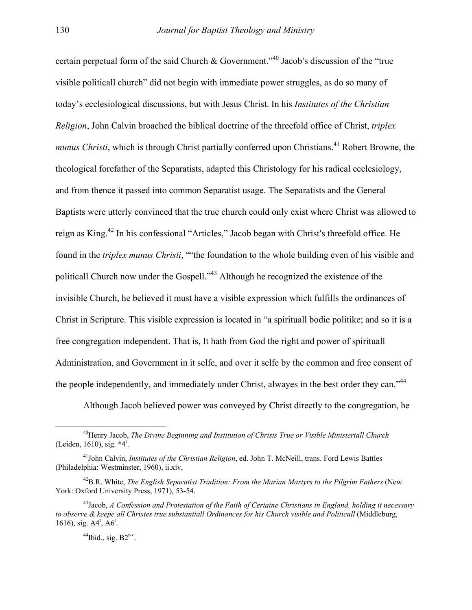certain perpetual form of the said Church & Government.<sup> $140$ </sup> Jacob's discussion of the "true" visible politicall church" did not begin with immediate power struggles, as do so many of today's ecclesiological discussions, but with Jesus Christ. In his *Institutes of the Christian Religion*, John Calvin broached the biblical doctrine of the threefold office of Christ, *triplex munus Christi*, which is through Christ partially conferred upon Christians.<sup>41</sup> Robert Browne, the theological forefather of the Separatists, adapted this Christology for his radical ecclesiology, and from thence it passed into common Separatist usage. The Separatists and the General Baptists were utterly convinced that the true church could only exist where Christ was allowed to reign as King.<sup>42</sup> In his confessional "Articles," Jacob began with Christ's threefold office. He found in the *triplex munus Christi*, ""the foundation to the whole building even of his visible and politicall Church now under the Gospell."[43](#page-20-3) Although he recognized the existence of the invisible Church, he believed it must have a visible expression which fulfills the ordinances of Christ in Scripture. This visible expression is located in "a spirituall bodie politike; and so it is a free congregation independent. That is, It hath from God the right and power of spirituall Administration, and Government in it selfe, and over it selfe by the common and free consent of the people independently, and immediately under Christ, alwayes in the best order they can."<sup>44</sup>

<span id="page-20-0"></span>Although Jacob believed power was conveyed by Christ directly to the congregation, he

 <sup>40</sup>Henry Jacob, *The Divine Beginning and Institution of Christs True or Visible Ministeriall Church* (Leiden, 1610), sig. \*4<sup>r</sup>.

<span id="page-20-1"></span><sup>41</sup>John Calvin, *Institutes of the Christian Religion*, ed. John T. McNeill, trans. Ford Lewis Battles (Philadelphia: Westminster, 1960), ii.xiv,

<span id="page-20-2"></span><sup>42</sup>B.R. White, *The English Separatist Tradition: From the Marian Martyrs to the Pilgrim Fathers* (New York: Oxford University Press, 1971), 53-54.

<span id="page-20-3"></span><sup>43</sup>Jacob, *A Confession and Protestation of the Faith of Certaine Christians in England, holding it necessary to observe & keepe all Christes true substantiall Ordinances for his Church visible and Politicall* (Middleburg, 1616), sig.  $A4^r$ ,  $A6^r$ .

<span id="page-20-4"></span> $^{44}$ Ibid., sig. B2<sup>r-v</sup>.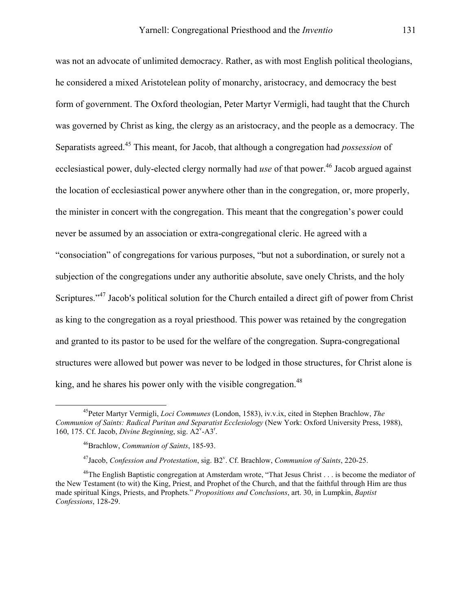was not an advocate of unlimited democracy. Rather, as with most English political theologians, he considered a mixed Aristotelean polity of monarchy, aristocracy, and democracy the best form of government. The Oxford theologian, Peter Martyr Vermigli, had taught that the Church was governed by Christ as king, the clergy as an aristocracy, and the people as a democracy. The Separatists agreed.[45](#page-21-0) This meant, for Jacob, that although a congregation had *possession* of ecclesiastical power, duly-elected clergy normally had *use* of that power.<sup>46</sup> Jacob argued against the location of ecclesiastical power anywhere other than in the congregation, or, more properly, the minister in concert with the congregation. This meant that the congregation's power could never be assumed by an association or extra-congregational cleric. He agreed with a "consociation" of congregations for various purposes, "but not a subordination, or surely not a subjection of the congregations under any authoritie absolute, save onely Christs, and the holy Scriptures."<sup>47</sup> Jacob's political solution for the Church entailed a direct gift of power from Christ as king to the congregation as a royal priesthood. This power was retained by the congregation and granted to its pastor to be used for the welfare of the congregation. Supra-congregational structures were allowed but power was never to be lodged in those structures, for Christ alone is king, and he shares his power only with the visible congregation.<sup>[48](#page-21-3)</sup>

<span id="page-21-0"></span> <sup>45</sup>Peter Martyr Vermigli, *Loci Communes* (London, 1583), iv.v.ix, cited in Stephen Brachlow, *The Communion of Saints: Radical Puritan and Separatist Ecclesiology* (New York: Oxford University Press, 1988), 160, 175. Cf. Jacob, *Divine Beginning*, sig. A2<sup>v</sup>-A3<sup>r</sup>.

<span id="page-21-1"></span><sup>46</sup>Brachlow, *Communion of Saints*, 185-93.

<span id="page-21-3"></span><span id="page-21-2"></span><sup>&</sup>lt;sup>47</sup>Jacob, *Confession and Protestation*, sig. B2<sup>v</sup>. Cf. Brachlow, *Communion of Saints*, 220-25.

<sup>&</sup>lt;sup>48</sup>The English Baptistic congregation at Amsterdam wrote, "That Jesus Christ . . . is become the mediator of the New Testament (to wit) the King, Priest, and Prophet of the Church, and that the faithful through Him are thus made spiritual Kings, Priests, and Prophets." *Propositions and Conclusions*, art. 30, in Lumpkin, *Baptist Confessions*, 128-29.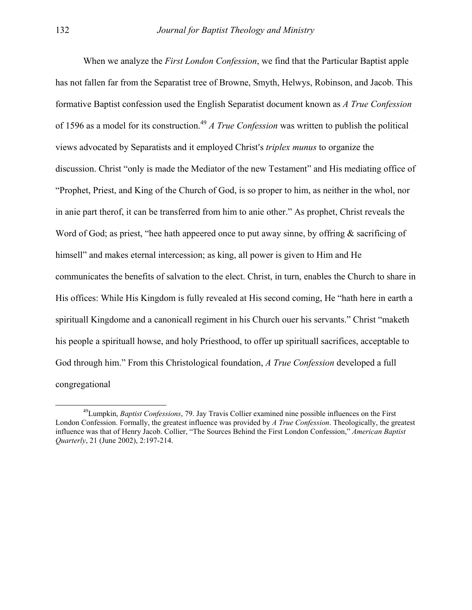When we analyze the *First London Confession*, we find that the Particular Baptist apple has not fallen far from the Separatist tree of Browne, Smyth, Helwys, Robinson, and Jacob. This formative Baptist confession used the English Separatist document known as *A True Confession* of 1596 as a model for its construction[.49](#page-22-0) *A True Confession* was written to publish the political views advocated by Separatists and it employed Christ's *triplex munus* to organize the discussion. Christ "only is made the Mediator of the new Testament" and His mediating office of "Prophet, Priest, and King of the Church of God, is so proper to him, as neither in the whol, nor in anie part therof, it can be transferred from him to anie other." As prophet, Christ reveals the Word of God; as priest, "hee hath appeered once to put away sinne, by offring  $\&$  sacrificing of himsell" and makes eternal intercession; as king, all power is given to Him and He communicates the benefits of salvation to the elect. Christ, in turn, enables the Church to share in His offices: While His Kingdom is fully revealed at His second coming, He "hath here in earth a spirituall Kingdome and a canonicall regiment in his Church ouer his servants." Christ "maketh his people a spirituall howse, and holy Priesthood, to offer up spirituall sacrifices, acceptable to God through him." From this Christological foundation, *A True Confession* developed a full congregational

<span id="page-22-0"></span> <sup>49</sup>Lumpkin, *Baptist Confessions*, 79. Jay Travis Collier examined nine possible influences on the First London Confession. Formally, the greatest influence was provided by *A True Confession*. Theologically, the greatest influence was that of Henry Jacob. Collier, "The Sources Behind the First London Confession," *American Baptist Quarterly*, 21 (June 2002), 2:197-214.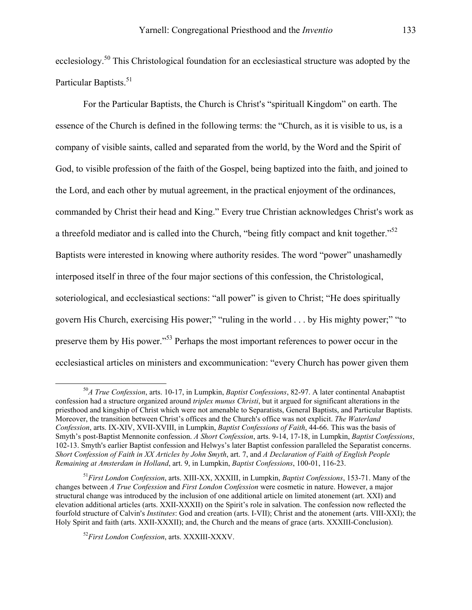ecclesiology.<sup>50</sup> This Christological foundation for an ecclesiastical structure was adopted by the Particular Baptists.<sup>[51](#page-23-1)</sup>

For the Particular Baptists, the Church is Christ's "spirituall Kingdom" on earth. The essence of the Church is defined in the following terms: the "Church, as it is visible to us, is a company of visible saints, called and separated from the world, by the Word and the Spirit of God, to visible profession of the faith of the Gospel, being baptized into the faith, and joined to the Lord, and each other by mutual agreement, in the practical enjoyment of the ordinances, commanded by Christ their head and King." Every true Christian acknowledges Christ's work as a threefold mediator and is called into the Church, "being fitly compact and knit together."<sup>[52](#page-23-2)</sup> Baptists were interested in knowing where authority resides. The word "power" unashamedly interposed itself in three of the four major sections of this confession, the Christological, soteriological, and ecclesiastical sections: "all power" is given to Christ; "He does spiritually govern His Church, exercising His power;" "ruling in the world . . . by His mighty power;" "to preserve them by His power."[53](#page-23-3) Perhaps the most important references to power occur in the ecclesiastical articles on ministers and excommunication: "every Church has power given them

<span id="page-23-0"></span> <sup>50</sup>*A True Confession*, arts. 10-17, in Lumpkin, *Baptist Confessions*, 82-97. A later continental Anabaptist confession had a structure organized around *triplex munus Christi*, but it argued for significant alterations in the priesthood and kingship of Christ which were not amenable to Separatists, General Baptists, and Particular Baptists. Moreover, the transition between Christ's offices and the Church's office was not explicit. *The Waterland Confession*, arts. IX-XIV, XVII-XVIII, in Lumpkin, *Baptist Confessions of Faith*, 44-66. This was the basis of Smyth's post-Baptist Mennonite confession. *A Short Confession*, arts. 9-14, 17-18, in Lumpkin, *Baptist Confessions*, 102-13. Smyth's earlier Baptist confession and Helwys's later Baptist confession paralleled the Separatist concerns. *Short Confession of Faith in XX Articles by John Smyth*, art. 7, and *A Declaration of Faith of English People Remaining at Amsterdam in Holland*, art. 9, in Lumpkin, *Baptist Confessions*, 100-01, 116-23.

<span id="page-23-3"></span><span id="page-23-1"></span><sup>51</sup>*First London Confession*, arts. XIII-XX, XXXIII, in Lumpkin, *Baptist Confessions*, 153-71. Many of the changes between *A True Confession* and *First London Confession* were cosmetic in nature. However, a major structural change was introduced by the inclusion of one additional article on limited atonement (art. XXI) and elevation additional articles (arts. XXII-XXXII) on the Spirit's role in salvation. The confession now reflected the fourfold structure of Calvin's *Institutes*: God and creation (arts. I-VII); Christ and the atonement (arts. VIII-XXI); the Holy Spirit and faith (arts. XXII-XXXII); and, the Church and the means of grace (arts. XXXIII-Conclusion).

<span id="page-23-2"></span><sup>52</sup>*First London Confession*, arts. XXXIII-XXXV.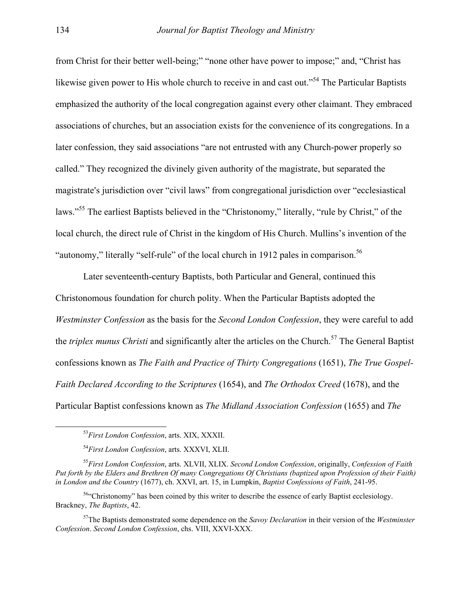from Christ for their better well-being;" "none other have power to impose;" and, "Christ has likewise given power to His whole church to receive in and cast out."<sup>54</sup> The Particular Baptists emphasized the authority of the local congregation against every other claimant. They embraced associations of churches, but an association exists for the convenience of its congregations. In a later confession, they said associations "are not entrusted with any Church-power properly so called." They recognized the divinely given authority of the magistrate, but separated the magistrate's jurisdiction over "civil laws" from congregational jurisdiction over "ecclesiastical laws."[55](#page-24-1) The earliest Baptists believed in the "Christonomy," literally, "rule by Christ," of the local church, the direct rule of Christ in the kingdom of His Church. Mullins's invention of the "autonomy," literally "self-rule" of the local church in 1912 pales in comparison.<sup>[56](#page-24-2)</sup>

Later seventeenth-century Baptists, both Particular and General, continued this Christonomous foundation for church polity. When the Particular Baptists adopted the *Westminster Confession* as the basis for the *Second London Confession*, they were careful to add the *triplex munus Christi* and significantly alter the articles on the Church.<sup>57</sup> The General Baptist confessions known as *The Faith and Practice of Thirty Congregations* (1651), *The True Gospel-Faith Declared According to the Scriptures* (1654), and *The Orthodox Creed* (1678), and the Particular Baptist confessions known as *The Midland Association Confession* (1655) and *The* 

 <sup>53</sup>*First London Confession*, arts. XIX, XXXII.

<span id="page-24-1"></span><span id="page-24-0"></span><sup>54</sup>*First London Confession*, arts. XXXVI, XLII.

<sup>55</sup>*First London Confession*, arts. XLVII, XLIX. *Second London Confession*, originally, *Confession of Faith Put forth by the Elders and Brethren Of many Congregations Of Christians (baptized upon Profession of their Faith) in London and the Country* (1677), ch. XXVI, art. 15, in Lumpkin, *Baptist Confessions of Faith*, 241-95.

<span id="page-24-2"></span><sup>56&</sup>quot;Christonomy" has been coined by this writer to describe the essence of early Baptist ecclesiology. Brackney, *The Baptists*, 42.

<span id="page-24-3"></span><sup>57</sup>The Baptists demonstrated some dependence on the *Savoy Declaration* in their version of the *Westminster Confession*. *Second London Confession*, chs. VIII, XXVI-XXX.